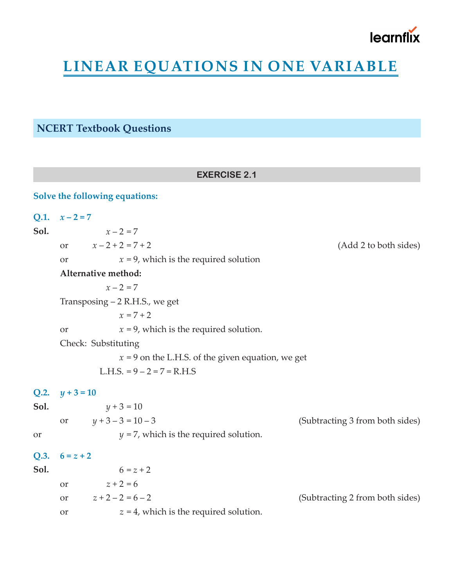

# **LINEAR EQUATIONS IN ONE VARIABLE**

## **NCERT Textbook Questions**

|               | <b>EXERCISE 2.1</b>                                   |                                 |
|---------------|-------------------------------------------------------|---------------------------------|
|               | Solve the following equations:                        |                                 |
| Q.1.          | $x - 2 = 7$                                           |                                 |
| Sol.          | $x - 2 = 7$                                           |                                 |
|               | $x - 2 + 2 = 7 + 2$<br>$\overline{\text{or}}$         | (Add 2 to both sides)           |
|               | $x = 9$ , which is the required solution<br><b>or</b> |                                 |
|               | Alternative method:                                   |                                 |
|               | $x - 2 = 7$                                           |                                 |
|               | Transposing – 2 R.H.S., we get                        |                                 |
|               | $x = 7 + 2$                                           |                                 |
|               | $x = 9$ , which is the required solution.<br>or       |                                 |
|               | Check: Substituting                                   |                                 |
|               | $x = 9$ on the L.H.S. of the given equation, we get   |                                 |
|               | L.H.S. = $9 - 2 = 7 = R.H.S$                          |                                 |
|               | Q.2. $y + 3 = 10$                                     |                                 |
| Sol.          | $y + 3 = 10$                                          |                                 |
|               | $y + 3 - 3 = 10 - 3$<br>or                            | (Subtracting 3 from both sides) |
| <sub>or</sub> | $y = 7$ , which is the required solution.             |                                 |
| Q.3.          | $6 = z + 2$                                           |                                 |
| Sol.          | $6 = z + 2$                                           |                                 |
|               | $z + 2 = 6$<br><b>or</b>                              |                                 |
|               | $z + 2 - 2 = 6 - 2$<br>or                             | (Subtracting 2 from both sides) |
|               | $z = 4$ , which is the required solution.<br>or       |                                 |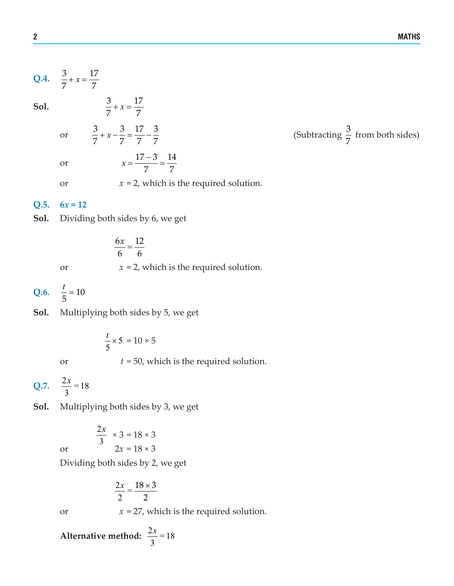**Q.4.** 
$$
\frac{3}{7} + x = \frac{17}{7}
$$

**Sol.**  $\frac{3}{7} + x = \frac{17}{7}$ 

- or
- or

or  $x = 2$ , which is the required solution.

## Q.5.  $6x = 12$



7 7  $+x =$ 

3 3 17 3 7 7 7 7

 $\frac{6x}{6} = \frac{12}{6}$ or  $x = 2$ , which is the required solution.

 $17 - 3$  14 7 7

 $x = \frac{17-3}{7}$ 

Q.6.  $\frac{t}{5} = 10$ 

**Sol.** Multiplying both sides by 5, we get

$$
\frac{t}{5} \times 5 = 10 \times 5
$$

or *t* = 50, which is the required solution.

**Q.7.**  $\frac{2x}{2} = 18$ 3 *x*

**Sol.** Multiplying both sides by 3, we get

$$
\frac{2x}{3} \times 3 = 18 \times 3
$$
  
or 
$$
\frac{2x}{3} = 18 \times 3
$$

Dividing both sides by 2, we get

$$
\frac{2x}{2} = \frac{18 \times 3}{2}
$$

or  $x = 27$ , which is the required solution.

**Alternative method:**  $\frac{2x}{2} = 18$ 3 *x*

 $+x-\frac{3}{5}=\frac{17}{5}-\frac{3}{5}$  (Subtracting  $\frac{3}{5}$ (Subtracting  $\frac{3}{7}$  from both sides)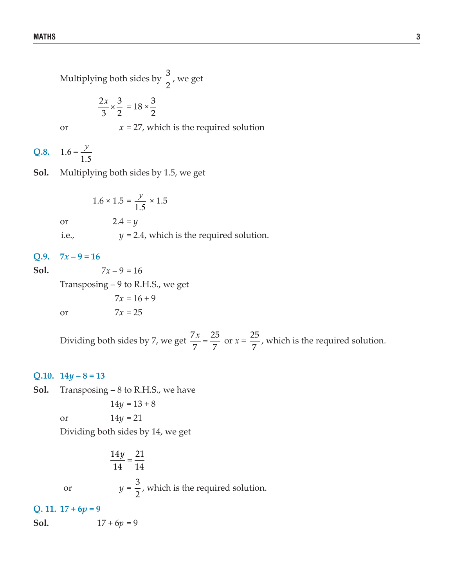Multiplying both sides by  $\frac{3}{2}$ , we get

$$
\frac{2x}{3} \times \frac{3}{2} = 18 \times \frac{3}{2}
$$

or  $x = 27$ , which is the required solution

**Q.8.**  $1.6 =$ 1.5 *y*

**Sol.** Multiplying both sides by 1.5, we get

1.6 × 1.5 = 
$$
\frac{y}{1.5}
$$
 × 1.5  
or 2.4 = y  
i.e.,  $y = 2.4$ , which is the required solution.

#### **Q.9.**   $7x - 9 = 16$

Sol.

$$
7x-9=16
$$

Transposing – 9 to R.H.S., we get

or 7*x* = 25

$$
7x = 16 + 9
$$

$$
7x = 25
$$

Dividing both sides by 7, we get  $\frac{7x}{7} = \frac{25}{7}$  or  $x = \frac{25}{7}$ , which is the required solution.

## **Q.10.**  $14y - 8 = 13$

**Sol.** Transposing – 8 to R.H.S., we have

$$
14y = 13 + 8
$$

or  $14y = 21$ 

Dividing both sides by 14, we get

 $\frac{14y}{14} = \frac{21}{14}$  $y = \frac{3}{2}$ 2 or  $y = \frac{6}{3}$ , which is the required solution.

Q. 11.  $17 + 6p = 9$ 

 $17 + 6p = 9$ Sol.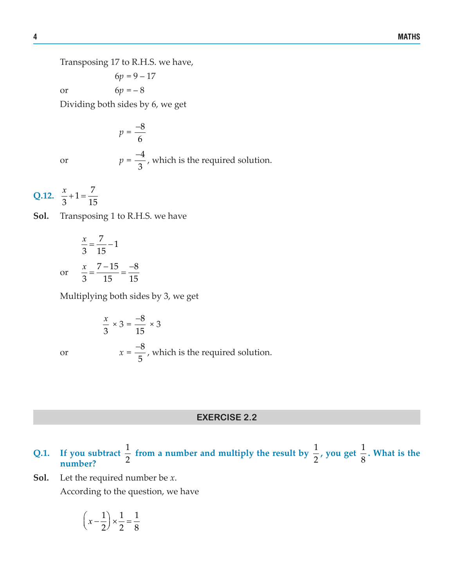Transposing 17 to R.H.S. we have,

 $6p = 9 - 17$ 

or  $6p = -8$ 

Dividing both sides by 6, we get

$$
p = \frac{-8}{6}
$$
  

$$
p = \frac{-4}{3}
$$
, which is the required solution.

**Q.12.**  $\frac{x}{2} + 1 = \frac{7}{41}$ 3 15  $\frac{x}{2} + 1 =$ 

or *x* =

or *p* =

**Sol.** Transposing 1 to R.H.S. we have

$$
\frac{x}{3} = \frac{7}{15} - 1
$$
  
or 
$$
\frac{x}{3} = \frac{7 - 15}{15} = \frac{-8}{15}
$$

Multiplying both sides by 3, we get

$$
\frac{x}{3} \times 3 = \frac{-8}{15} \times 3
$$
  

$$
x = \frac{-8}{5}
$$
, which is the required solution.

## **EXERCISE 2.2**

- Q.1. If you subtract  $\frac{1}{2}$  from a number and multiply the result by  $\frac{1}{2}$ , you get  $\frac{1}{8}$ **. What is the number?**
- **Sol.** Let the required number be *x*.

According to the question, we have

$$
\left(x - \frac{1}{2}\right) \times \frac{1}{2} = \frac{1}{8}
$$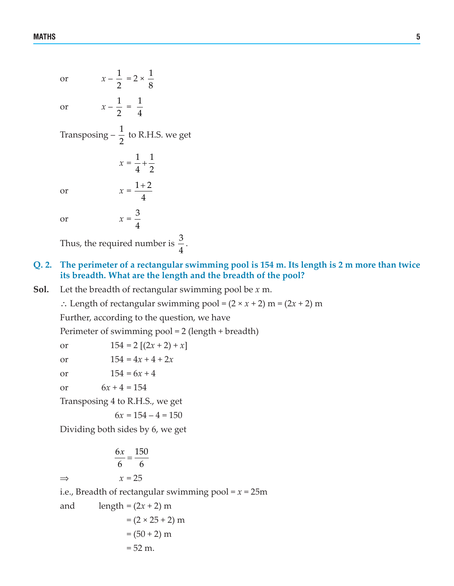or  $x - \frac{1}{2}$ 2  $= 2 \times \frac{1}{2}$ 8 or  $x - \frac{1}{2}$ 2  $=$   $\frac{1}{4}$ 4 Transposing  $-\frac{1}{2}$  to R.H.S. we get  $x = \frac{1}{4} + \frac{1}{2}$ 4 2 + or  $x = \frac{1+2}{1}$ 4 + or  $x = \frac{3}{4}$ 4 Thus, the required number is  $\frac{3}{4}$ .

## **Q. 2. The perimeter of a rectangular swimming pool is 154 m. Its length is 2 m more than twice its breadth. What are the length and the breadth of the pool?**

**Sol.** Let the breadth of rectangular swimming pool be *x* m.

∴ Length of rectangular swimming pool =  $(2 \times x + 2)$  m =  $(2x + 2)$  m

Further, according to the question, we have

Perimeter of swimming pool = 2 (length + breadth)

| or | $154 = 2 [(2x + 2) + x]$ |  |
|----|--------------------------|--|
|    |                          |  |

or  $154 = 4x + 4 + 2x$ 

or  $154 = 6x + 4$ 

or  $6x + 4 = 154$ 

Transposing 4 to R.H.S., we get

 $6x = 154 - 4 = 150$ 

Dividing both sides by 6, we get

$$
\frac{6x}{6} = \frac{150}{6}
$$
  
\n
$$
\Rightarrow \qquad x = 25
$$
  
\ni.e., Breadth of rectangular swimming pool = x = 25m  
\nand length = (2x + 2) m  
\n= (2 × 25 + 2) m  
\n= (50 + 2) m  
\n= 52 m.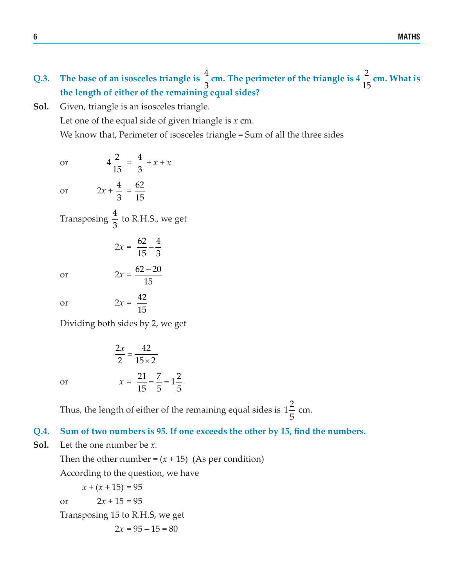- **Q.3.** The base of an isosceles triangle is  $\frac{4}{5}$ 3 **cm.** The perimeter of the triangle is 4  $\frac{2}{\epsilon}$ 15 **cm. What is the length of either of the remaining equal sides?**
- **Sol.** Given, triangle is an isosceles triangle. Let one of the equal side of given triangle is *x* cm. We know that, Perimeter of isosceles triangle = Sum of all the three sides

or  $4\frac{2}{15}$ 15  $=\frac{4}{3}$ 3 +  $\chi$  +  $\chi$ or  $2x + \frac{4}{5}$ 3  $=\frac{62}{15}$ 15 Transposing  $\frac{4}{3}$ 3 to R.H.S., we get  $2x = \frac{62}{15} - \frac{4}{3}$ 

or  $2x = \frac{62 - 20}{15}$ 

or  $2x = \frac{42}{15}$ 

Dividing both sides by 2, we get

15 −

15

$$
\frac{2x}{2} = \frac{42}{15 \times 2}
$$
  
or 
$$
x = \frac{21}{15} = \frac{7}{5} = 1\frac{2}{5}
$$

Thus, the length of either of the remaining equal sides is  $1\frac{2}{7}$ 5 cm.

## **Q.4. Sum of two numbers is 95. If one exceeds the other by 15, find the numbers.**

**Sol.** Let the one number be *x.*

Then the other number =  $(x + 15)$  (As per condition) According to the question, we have  $x + (x + 15) = 95$ or  $2x + 15 = 95$ 

Transposing 15 to R.H.S, we get

$$
2x = 95 - 15 = 80
$$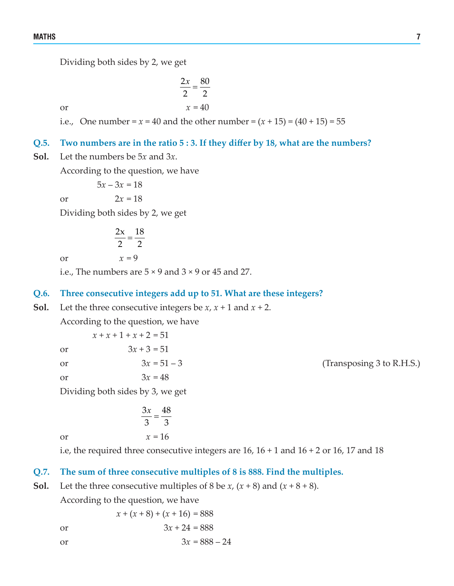Dividing both sides by 2, we get

 $rac{2x}{2} = \frac{80}{2}$ or  $x = 40$ 

i.e., One number =  $x = 40$  and the other number =  $(x + 15) = (40 + 15) = 55$ 

## **Q.5. Two numbers are in the ratio 5 : 3. If they differ by 18, what are the numbers?**

**Sol.** Let the numbers be 5*x* and 3*x*.

According to the question, we have

 $5x - 3x = 18$ 

or  $2x = 18$ 

Dividing both sides by 2, we get

$$
\frac{2x}{2} = \frac{18}{2}
$$

or  $x = 9$ 

i.e., The numbers are  $5 \times 9$  and  $3 \times 9$  or 45 and 27.

## **Q.6. Three consecutive integers add up to 51. What are these integers?**

**Sol.** Let the three consecutive integers be *x*,  $x + 1$  and  $x + 2$ .

According to the question, we have

 $x + x + 1 + x + 2 = 51$ or  $3x + 3 = 51$ or  $3x = 51 - 3$  (Transposing 3 to R.H.S.) or  $3x = 48$ 

Dividing both sides by 3, we get

$$
\frac{3x}{3} = \frac{48}{3}
$$
  
or 
$$
x = 16
$$

i.e, the required three consecutive integers are  $16$ ,  $16 + 1$  and  $16 + 2$  or  $16$ ,  $17$  and  $18$ 

## **Q.7. The sum of three consecutive multiples of 8 is 888. Find the multiples.**

**Sol.** Let the three consecutive multiples of 8 be *x*,  $(x + 8)$  and  $(x + 8 + 8)$ .

According to the question, we have

or 
$$
3x + 24 = 888
$$

 $x + (x + 8) + (x + 16) = 888$ 

or  $3x = 888 - 24$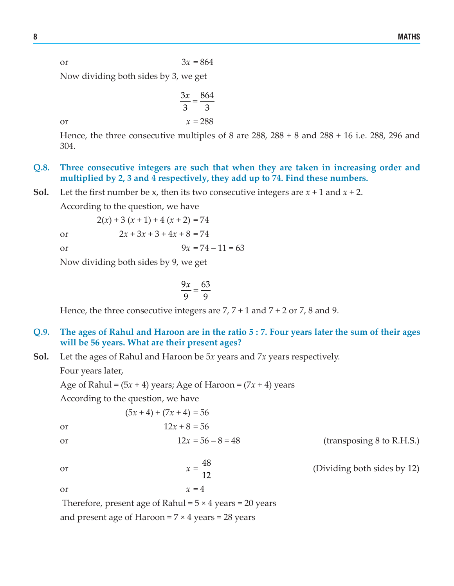or  $3x = 864$ 

 $\frac{3x}{3} = \frac{864}{3}$ 

Now dividing both sides by 3, we get

or  $x = 288$ 

Hence, the three consecutive multiples of 8 are 288, 288 + 8 and 288 + 16 i.e. 288, 296 and 304.

- **Q.8. Three consecutive integers are such that when they are taken in increasing order and multiplied by 2, 3 and 4 respectively, they add up to 74. Find these numbers.**
- **Sol.** Let the first number be x, then its two consecutive integers are  $x + 1$  and  $x + 2$ .

According to the question, we have

or  $2x + 3x + 3 + 4x + 8 = 74$ or  $9x = 74 - 11 = 63$ 

 $2(x) + 3(x + 1) + 4(x + 2) = 74$ 

Now dividing both sides by 9, we get

$$
\frac{9x}{9} = \frac{63}{9}
$$

Hence, the three consecutive integers are  $7, 7 + 1$  and  $7 + 2$  or  $7, 8$  and 9.

## **Q.9. The ages of Rahul and Haroon are in the ratio 5 : 7. Four years later the sum of their ages will be 56 years. What are their present ages?**

**Sol.** Let the ages of Rahul and Haroon be 5*x* years and 7*x* years respectively.

Four years later,

Age of Rahul =  $(5x + 4)$  years; Age of Haroon =  $(7x + 4)$  years

 $(5x + 4) + (7x + 4) = 56$ 

According to the question, we have

or 
$$
12x + 8 = 56
$$

or  $12x = 56 - 8 = 48$  (transposing 8 to R.H.S.)

$$
f_{\rm{max}}
$$

<sup>12</sup> (Dividing both sides by 12)

or  $x = \frac{48}{12}$ 

or  $x = 4$ 

Therefore, present age of Rahul =  $5 \times 4$  years = 20 years and present age of Haroon =  $7 \times 4$  years = 28 years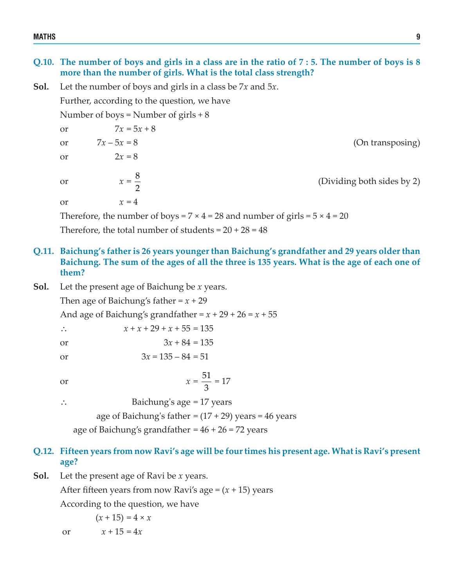### MATHS 9

## **Q.10. The number of boys and girls in a class are in the ratio of 7 : 5. The number of boys is 8 more than the number of girls. What is the total class strength?**

**Sol.** Let the number of boys and girls in a class be 7*x* and 5*x*.

Further, according to the question, we have

Number of boys = Number of girls  $+8$ 

or  $7x = 5x + 8$ or  $7x - 5x = 8$  (On transposing) or  $2x = 8$ 

or  $x = \frac{8}{3}$ 

<sup>2</sup> (Dividing both sides by 2)

or  $x = 4$ 

Therefore, the number of boys =  $7 \times 4 = 28$  and number of girls =  $5 \times 4 = 20$ Therefore, the total number of students =  $20 + 28 = 48$ 

## **Q.11. Baichung's father is 26 years younger than Baichung's grandfather and 29 years older than Baichung. The sum of the ages of all the three is 135 years. What is the age of each one of them?**

**Sol.** Let the present age of Baichung be *x* years.

Then age of Baichung's father =  $x + 29$ 

And age of Baichung's grandfather =  $x + 29 + 26 = x + 55$ 

∴  $x + x + 29 + x + 55 = 135$ 

- or  $3x + 84 = 135$
- or  $3x = 135 84 = 51$

or  $x = \frac{51}{3}$ 3  $= 17$ 

∴ Baichung's age = 17 years

age of Baichung's father =  $(17 + 29)$  years = 46 years

age of Baichung's grandfather =  $46 + 26 = 72$  years

## **Q.12. Fifteen years from now Ravi's age will be four times his present age. What is Ravi's present age?**

**Sol.** Let the present age of Ravi be *x* years.

After fifteen years from now Ravi's age  $=(x+15)$  years

According to the question, we have

$$
(x + 15) = 4 \times x
$$
  
or 
$$
x + 15 = 4x
$$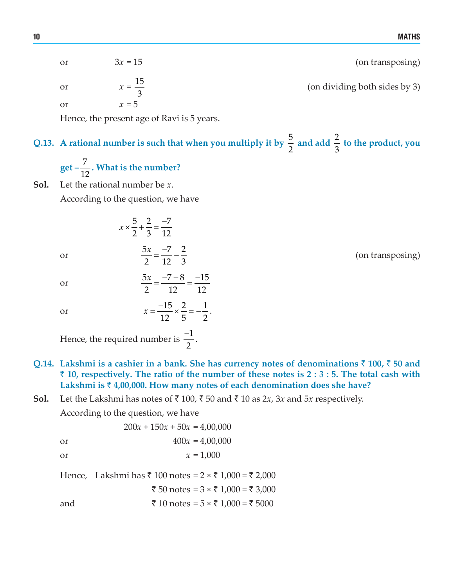| (on transposing)              | $3x = 15$          | or |
|-------------------------------|--------------------|----|
| (on dividing both sides by 3) | $x = \frac{15}{2}$ | or |
|                               | $x = 5$            | or |

Hence, the present age of Ravi is 5 years.

#### **Q.13.** A rational number is such that when you multiply it by  $\frac{5}{2}$ 2 and add  $\frac{2}{3}$ 3  **to the product, you**

get 
$$
-\frac{7}{12}
$$
. What is the number?

**Sol.** Let the rational number be *x*.

According to the question, we have

$$
x \times \frac{5}{2} + \frac{2}{3} = \frac{-7}{12}
$$
  
5x -7 2

or 

 $\frac{x}{x} = \frac{-7}{42} - \frac{2}{3}$  (on transposing)

or 

or 

$$
x = \frac{-15}{12} \times \frac{2}{5} = -\frac{1}{2}.
$$

2 12 3

 $5x -7-8 -15$ 2 12 12  $\frac{x}{2} = \frac{-7 - 8}{12} = \frac{-7}{4}$ 

Hence, the required number is  $\frac{-1}{2}$ 2  $\frac{-1}{2}$ .

- **Q.14. Lakshmi is a cashier in a bank. She has currency notes of denominations** ` **100,** ` **50 and** ` **10, respectively. The ratio of the number of these notes is 2 : 3 : 5. The total cash with Lakshmi is** ` **4,00,000. How many notes of each denomination does she have?**
- **Sol.** Let the Lakshmi has notes of  $\bar{\tau}$  100,  $\bar{\tau}$  50 and  $\bar{\tau}$  10 as 2*x*, 3*x* and 5*x* respectively.

According to the question, we have

$$
200x + 150x + 50x = 4,00,000
$$
or
$$
400x = 4,00,000
$$

or 
$$
x = 1,000
$$

Hence, Lakshmi has  $\bar{x}$  100 notes =  $2 \times \bar{x}$  1,000 =  $\bar{x}$  2,000

$$
\xi
$$
 50 notes = 3 × ₹ 1,000 = ₹ 3,000

and  $\bar{\tau}$  10 notes = 5 ×  $\bar{\tau}$  1,000 =  $\bar{\tau}$  5000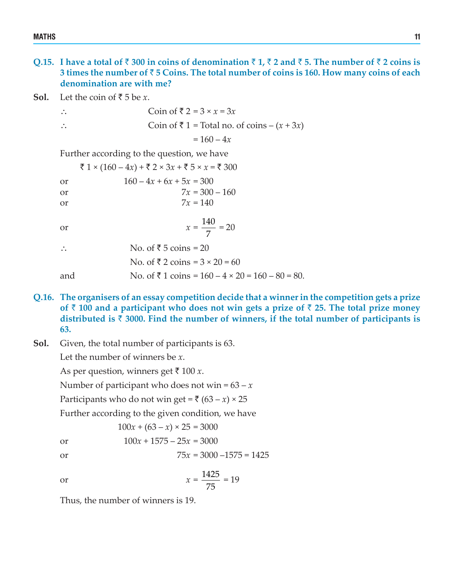**Q.15. I** have a total of  $\bar{\tau}$  300 in coins of denomination  $\bar{\tau}$  1,  $\bar{\tau}$  2 and  $\bar{\tau}$  5. The number of  $\bar{\tau}$  2 coins is **3 times the number of** ` **5 Coins. The total number of coins is 160. How many coins of each denomination are with me?**

**Sol.** Let the coin of  $\bar{\tau}$  5 be *x*.

$$
\therefore
$$
 Coin of  $\overline{z} = 3 \times x = 3x$ 

∴ Coin of  $\bar{x}$  1 = Total no. of coins –  $(x + 3x)$ 

 $= 160 - 4x$ 

Further according to the question, we have

 $\bar{x}$  1 × (160 – 4*x*) +  $\bar{x}$  2 × 3*x* +  $\bar{x}$  5 × *x* =  $\bar{x}$  300 or  $160 - 4x + 6x + 5x = 300$ or  $7x = 300 - 160$ or  $7x = 140$ or  $x = \frac{140}{7}$ 7  $= 20$ ∴ No. of  $\overline{5}$  coins = 20 No. of  $\bar{x}$  2 coins = 3 × 20 = 60 and No. of  $\overline{5}$  1 coins = 160 – 4 × 20 = 160 – 80 = 80.

- **Q.16. The organisers of an essay competition decide that a winner in the competition gets a prize** of  $\bar{\tau}$  100 and a participant who does not win gets a prize of  $\bar{\tau}$  25. The total prize money **distributed is** ` **3000. Find the number of winners, if the total number of participants is 63.**
- **Sol.** Given, the total number of participants is 63.

Let the number of winners be *x*.

As per question, winners get  $\bar{x}$  100 *x*.

Number of participant who does not win =  $63 - x$ 

Participants who do not win get =  $\bar{\tau}$  (63 – *x*) × 25

Further according to the given condition, we have

 $100x + (63 - x) \times 25 = 3000$ 

- or  $100x + 1575 25x = 3000$
- or  $75x = 3000 1575 = 1425$

or 
$$
x = \frac{1425}{75} = 19
$$

Thus, the number of winners is 19.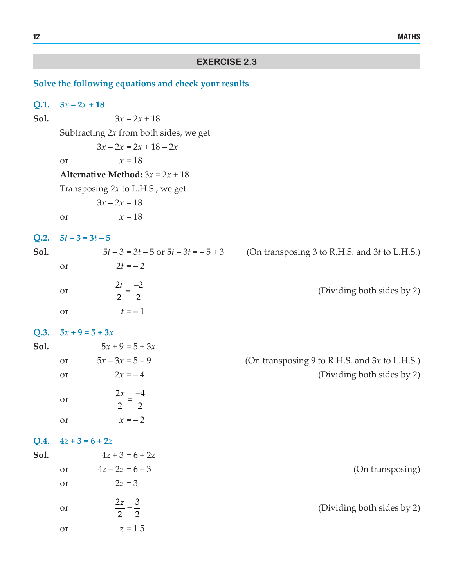## **EXERCISE 2.3**

## **Solve the following equations and check your results**

| Q.1. | $3x = 2x + 18$    |                                           |                                               |
|------|-------------------|-------------------------------------------|-----------------------------------------------|
| Sol. |                   | $3x = 2x + 18$                            |                                               |
|      |                   | Subtracting $2x$ from both sides, we get  |                                               |
|      |                   | $3x - 2x = 2x + 18 - 2x$                  |                                               |
|      | <b>or</b>         | $x = 18$                                  |                                               |
|      |                   | <b>Alternative Method:</b> $3x = 2x + 18$ |                                               |
|      |                   | Transposing $2x$ to L.H.S., we get        |                                               |
|      |                   | $3x - 2x = 18$                            |                                               |
|      | or                | $x = 18$                                  |                                               |
| Q.2. | $5t-3=3t-5$       |                                           |                                               |
| Sol. |                   | $5t-3=3t-5$ or $5t-3t=-5+3$               | (On transposing 3 to R.H.S. and 3t to L.H.S.) |
|      | or                | $2t = -2$                                 |                                               |
|      | <b>or</b>         | $\frac{2t}{2} = \frac{-2}{2}$             | (Dividing both sides by 2)                    |
|      | or                | $t = -1$                                  |                                               |
| Q.3. | $5x + 9 = 5 + 3x$ |                                           |                                               |
| Sol. |                   | $5x + 9 = 5 + 3x$                         |                                               |
|      | or                | $5x - 3x = 5 - 9$                         | (On transposing 9 to R.H.S. and 3x to L.H.S.) |
|      | <b>or</b>         | $2x = -4$                                 | (Dividing both sides by 2)                    |
|      | <b>or</b>         | $\frac{2x}{2} = \frac{-4}{2}$             |                                               |
|      | <b>or</b>         | $x = -2$                                  |                                               |
| Q.4. | $4z + 3 = 6 + 2z$ |                                           |                                               |
| Sol. |                   | $4z + 3 = 6 + 2z$                         |                                               |
|      | or                | $4z - 2z = 6 - 3$                         | (On transposing)                              |
|      | or                | $2z = 3$                                  |                                               |
|      | or                | $\frac{2z}{2} = \frac{3}{2}$              | (Dividing both sides by 2)                    |
|      | or                | $z=1.5$                                   |                                               |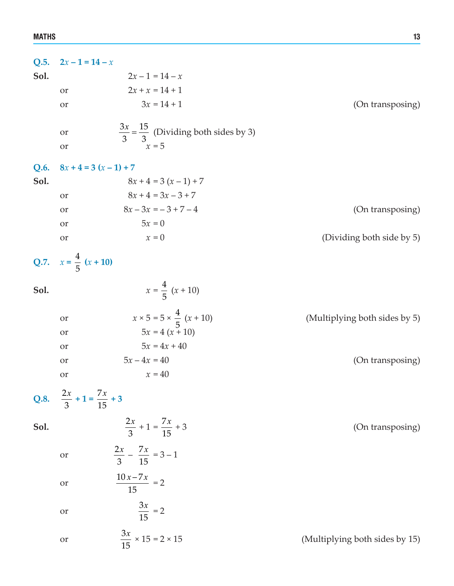| Q.5. | $2x-1=14-x$                                 |                                                                   |                                |
|------|---------------------------------------------|-------------------------------------------------------------------|--------------------------------|
| Sol. |                                             | $2x - 1 = 14 - x$                                                 |                                |
|      | <b>or</b>                                   | $2x + x = 14 + 1$                                                 |                                |
|      | or                                          | $3x = 14 + 1$                                                     | (On transposing)               |
|      | <b>or</b>                                   | $rac{3x}{3} = \frac{15}{3}$ (Dividing both sides by 3)            |                                |
|      | <b>or</b>                                   | $x = 5$                                                           |                                |
|      |                                             |                                                                   |                                |
| Q.6. | $8x + 4 = 3(x - 1) + 7$                     |                                                                   |                                |
| Sol. |                                             | $8x + 4 = 3(x - 1) + 7$                                           |                                |
|      | <b>or</b>                                   | $8x + 4 = 3x - 3 + 7$                                             |                                |
|      | <b>or</b>                                   | $8x - 3x = -3 + 7 - 4$                                            | (On transposing)               |
|      | <b>or</b>                                   | $5x = 0$                                                          |                                |
|      | or                                          | $x = 0$                                                           | (Dividing both side by 5)      |
|      | Q.7. $x = \frac{4}{5} (x + 10)$             |                                                                   |                                |
| Sol. |                                             | $x = \frac{4}{5} (x + 10)$                                        |                                |
|      | <b>or</b>                                   | $x \times 5 = 5 \times \frac{4}{5} (x + 10)$<br>$5x = 4 (x + 10)$ | (Multiplying both sides by 5)  |
|      | <b>or</b>                                   |                                                                   |                                |
|      | <b>or</b>                                   | $5x = 4x + 40$                                                    |                                |
|      | <b>or</b>                                   | $5x - 4x = 40$                                                    | (On transposing)               |
|      | <b>or</b>                                   | $x = 40$                                                          |                                |
|      | Q.8. $\frac{2x}{3} + 1 = \frac{7x}{15} + 3$ |                                                                   |                                |
| Sol. |                                             | $\frac{2x}{3} + 1 = \frac{7x}{15} + 3$                            | (On transposing)               |
|      | <b>or</b>                                   | $\frac{2x}{3} - \frac{7x}{15} = 3 - 1$                            |                                |
|      | or                                          | $\frac{10x-7x}{15}=2$                                             |                                |
|      | <b>or</b>                                   | $\frac{3x}{15} = 2$                                               |                                |
|      | <b>or</b>                                   | $\frac{3x}{15} \times 15 = 2 \times 15$                           | (Multiplying both sides by 15) |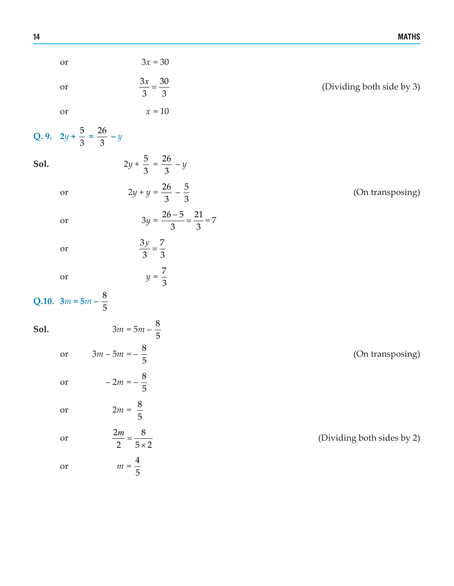|      | or                                          | $3x = 30$                                |                            |
|------|---------------------------------------------|------------------------------------------|----------------------------|
|      | or                                          | $\frac{3x}{3} = \frac{30}{3}$            | (Dividing both side by 3)  |
|      | <b>or</b>                                   | $\ensuremath{x}\xspace = 10$             |                            |
|      | Q. 9. $2y + \frac{5}{3} = \frac{26}{3} - y$ |                                          |                            |
| Sol. |                                             | $2y + \frac{5}{3} = \frac{26}{3} - y$    |                            |
|      | <b>or</b>                                   | $2y + y = \frac{26}{3} - \frac{5}{3}$    | (On transposing)           |
|      | or                                          | $3y = \frac{26-5}{3} = \frac{21}{3} = 7$ |                            |
|      | or                                          | $\frac{3y}{3} = \frac{7}{3}$             |                            |
|      | <b>or</b>                                   | $y = \frac{7}{3}$                        |                            |
|      | Q.10. $3m = 5m - \frac{8}{5}$               |                                          |                            |
| Sol. |                                             | $3m = 5m - \frac{8}{5}$                  |                            |
|      | $\overline{\text{or}}$                      | $3m - 5m = -\frac{8}{5}$                 | (On transposing)           |
|      | or                                          | $-2m = -\frac{8}{5}$<br>5                |                            |
|      | <b>or</b>                                   | $2m = \frac{8}{5}$                       |                            |
|      | <b>or</b>                                   | $\frac{2m}{2} = \frac{8}{5 \times 2}$    | (Dividing both sides by 2) |
|      | or                                          | $m=\frac{4}{5}$                          |                            |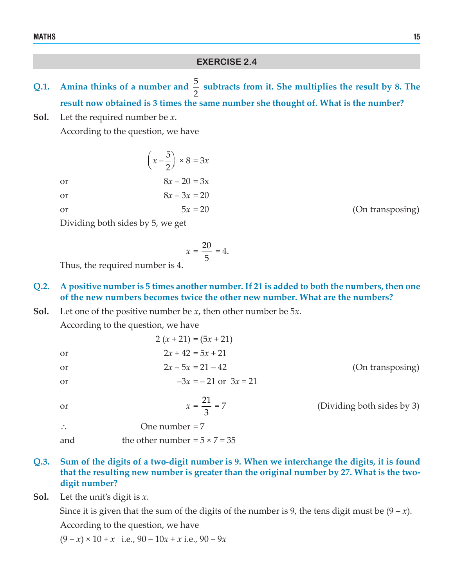### MATHS THE RESERVE OF THE RESERVE OF THE RESERVE OF THE RESERVE OF THE RESERVE OF THE RESERVE OF THE RESERVE OF

## **EXERCISE 2.4**

- Q.1. Amina thinks of a number and  $\frac{5}{2}$  subtracts from it. She multiplies the result by 8. The **result now obtained is 3 times the same number she thought of. What is the number?**
- **Sol.** Let the required number be *x*.

According to the question, we have

5  $\left(x-\frac{5}{2}\right) \times 8 = 3x$ or  $8x - 20 = 3x$ or  $8x - 3x = 20$ 

$$
\overline{\text{or}}
$$

 $5x = 20$  (On transposing)

(Dividing both sides by 3)

Dividing both sides by 5, we get

$$
x = \frac{20}{5} = 4.
$$

Thus, the required number is 4.

## **Q.2. A positive number is 5 times another number. If 21 is added to both the numbers, then one of the new numbers becomes twice the other new number. What are the numbers?**

**Sol.** Let one of the positive number be *x*, then other number be 5*x*.

According to the question, we have

|    | $2(x+21) = (5x+21)$      |                  |
|----|--------------------------|------------------|
| or | $2x + 42 = 5x + 21$      |                  |
| or | $2x - 5x = 21 - 42$      | (On transposing) |
| or | $-3x = -21$ or $3x = 21$ |                  |
|    |                          |                  |

or  $x = \frac{21}{3}$ 

3 ∴ One number =  $7$ 

- and the other number  $= 5 \times 7 = 35$
- **Q.3. Sum of the digits of a two-digit number is 9. When we interchange the digits, it is found that the resulting new number is greater than the original number by 27. What is the twodigit number?**
- **Sol.** Let the unit's digit is *x*.

Since it is given that the sum of the digits of the number is 9, the tens digit must be  $(9 - x)$ . According to the question, we have

 $(9 - x) \times 10 + x$  i.e.,  $90 - 10x + x$  i.e.,  $90 - 9x$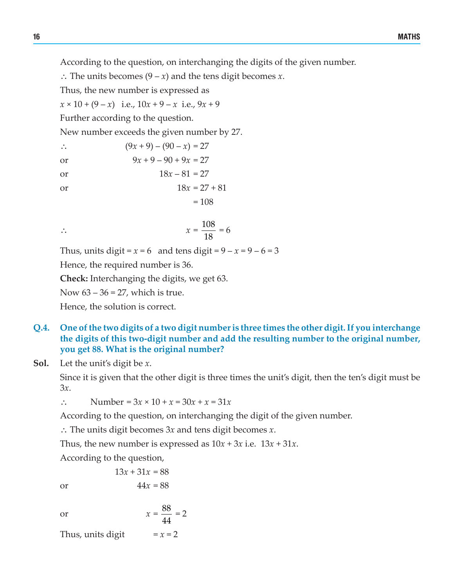According to the question, on interchanging the digits of the given number.

∴ The units becomes (9 – *x*) and the tens digit becomes *x*.

Thus, the new number is expressed as

 $x \times 10 + (9 - x)$  i.e.,  $10x + 9 - x$  i.e.,  $9x + 9$ 

Further according to the question.

New number exceeds the given number by 27.

$$
(9x + 9) - (90 - x) = 27
$$

or 
$$
9x + 9 - 90 + 9x = 27
$$

- or  $18x 81 = 27$
- or  $18x = 27 + 81$

$$
= 108
$$

18

 $= 6$ 

∴  $x = \frac{108}{100}$ 

Thus, units digit =  $x = 6$  and tens digit =  $9 - x = 9 - 6 = 3$ 

Hence, the required number is 36.

**Check:** Interchanging the digits, we get 63.

Now  $63 - 36 = 27$ , which is true.

Hence, the solution is correct.

- **Q.4. One of the two digits of a two digit number is three times the other digit. If you interchange the digits of this two-digit number and add the resulting number to the original number, you get 88. What is the original number?**
- **Sol.** Let the unit's digit be *x*.

Since it is given that the other digit is three times the unit's digit, then the ten's digit must be 3*x*.

∴ Number =  $3x \times 10 + x = 30x + x = 31x$ 

According to the question, on interchanging the digit of the given number.

∴ The units digit becomes 3*x* and tens digit becomes *x*.

88 44

Thus, the new number is expressed as  $10x + 3x$  i.e.  $13x + 31x$ .

 $= 2$ 

According to the question,

 $13x + 31x = 88$ or  $44x = 88$ 

or 
$$
x =
$$

Thus, units digit  $= x = 2$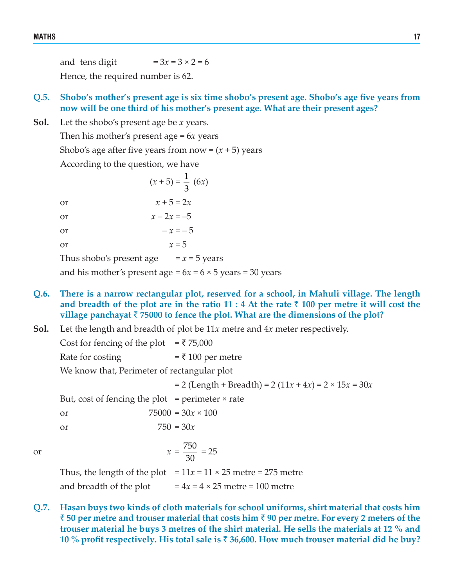and tens digit  $= 3x = 3 \times 2 = 6$ Hence, the required number is 62.

## **Q.5. Shobo's mother's present age is six time shobo's present age. Shobo's age five years from now will be one third of his mother's present age. What are their present ages?**

**Sol.** Let the shobo's present age be *x* years.

Then his mother's present age = 6*x* years

Shobo's age after five years from now  $=(x+5)$  years

According to the question, we have

 $(x+5) = \frac{1}{3} (6x)$ or  $x + 5 = 2x$ or  $x - 2x = -5$ or  $- x = - 5$ or  $x = 5$ Thus shobo's present age  $= x = 5$  years and his mother's present age  $= 6x = 6 \times 5$  years  $= 30$  years

- **Q.6. There is a narrow rectangular plot, reserved for a school, in Mahuli village. The length** and breadth of the plot are in the ratio  $11 : 4$  At the rate  $\bar{?}$  100 per metre it will cost the **village panchayat** ` **75000 to fence the plot. What are the dimensions of the plot?**
- **Sol.** Let the length and breadth of plot be 11*x* metre and 4*x* meter respectively.

Cost for fencing of the plot  $=$  ₹ 75,000

Rate for costing  $= \overline{3} 100$  per metre

We know that, Perimeter of rectangular plot

 $= 2$  (Length + Breadth) = 2 (11*x* + 4*x*) = 2 × 15*x* = 30*x* 

But, cost of fencing the plot  $=$  perimeter  $\times$  rate

or  $75000 = 30x \times 100$ 

or  $750 = 30x$ 

or 
$$
x = \frac{750}{30} = 25
$$

Thus, the length of the plot  $= 11x = 11 \times 25$  metre = 275 metre and breadth of the plot  $= 4x = 4 \times 25$  metre = 100 metre

**Q.7. Hasan buys two kinds of cloth materials for school uniforms, shirt material that costs him** ` **50 per metre and trouser material that costs him** ` **90 per metre. For every 2 meters of the trouser material he buys 3 metres of the shirt material. He sells the materials at 12 % and 10 % profit respectively. His total sale is** ` **36,600. How much trouser material did he buy?**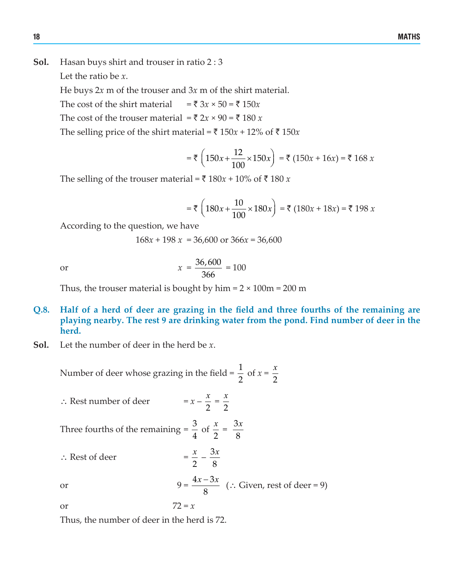**Sol.** Hasan buys shirt and trouser in ratio 2 : 3

Let the ratio be *x*.

He buys 2*x* m of the trouser and 3*x* m of the shirt material.

The cost of the shirt material  $= \bar{x} \cdot 3x \times 50 = \bar{x} \cdot 150x$ 

The cost of the trouser material =  $\bar{\tau}$  2*x* × 90 =  $\bar{\tau}$  180 *x* 

The selling price of the shirt material =  $\bar{x}$  150*x* + 12% of  $\bar{x}$  150*x* 

$$
= ₹\left(150x + \frac{12}{100} \times 150x\right) = ₹\left(150x + 16x\right) = ₹\ 168 x
$$

The selling of the trouser material =  $\bar{\tau}$  180*x* + 10% of  $\bar{\tau}$  180 *x* 

$$
= ₹\left(180x + \frac{10}{100} \times 180x\right) = ₹\left(180x + 18x\right) = ₹\ 198\ x
$$

According to the question, we have

$$
168x + 198x = 36,600 \text{ or } 366x = 36,600
$$

or 
$$
x = \frac{36,600}{366} = 100
$$

Thus, the trouser material is bought by  $\text{him} = 2 \times 100 \text{ m} = 200 \text{ m}$ 

- **Q.8. Half of a herd of deer are grazing in the field and three fourths of the remaining are playing nearby. The rest 9 are drinking water from the pond. Find number of deer in the herd.**
- **Sol.** Let the number of deer in the herd be *x*.

Number of deer whose grazing in the field =  $\frac{1}{2}$ 2 of  $x =$ 2 *x*

<sup>∴</sup> Rest number of deer <sup>=</sup>*<sup>x</sup>* – 2  $\frac{x}{2}$  = 2 *x*

Three fourths of the remaining 
$$
=
$$
  $\frac{3}{4}$  of  $\frac{x}{2} = \frac{3x}{8}$ 

∴ Rest of deer =

or 
$$
9 = \frac{4x - 3x}{8}
$$
 (: Given, rest of deer = 9)

2  $\frac{x}{2} - \frac{3}{4}$ 8 *x*

or  $72 = x$ 

Thus, the number of deer in the herd is 72.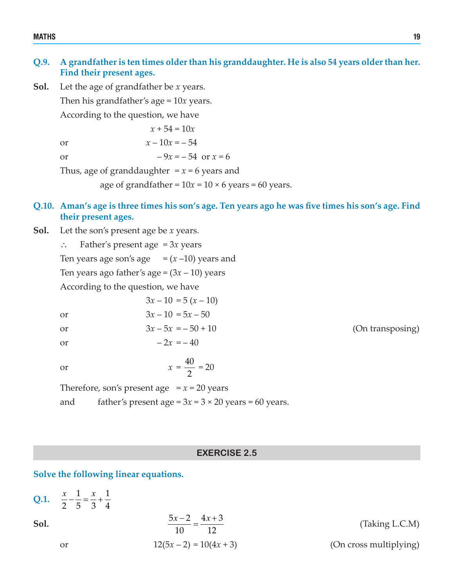#### MATHS THE RESERVE OF THE RESERVE OF THE RESERVE OF THE RESERVE OF THE RESERVE OF THE RESERVE OF THE RESERVE OF

## **Q.9. A grandfather is ten times older than his granddaughter. He is also 54 years older than her. Find their present ages.**

**Sol.** Let the age of grandfather be *x* years. Then his grandfather's age = 10*x* years. According to the question, we have

 $x + 54 = 10x$ 

or  $x - 10x = -54$ 

$$
\begin{array}{c}\n\ldots & \ldots & \ldots \\
\vdots & \vdots & \vdots \\
\vdots & \vdots & \vdots \\
\vdots & \vdots & \vdots \\
\vdots & \vdots & \vdots \\
\vdots & \vdots & \vdots \\
\vdots & \vdots & \vdots \\
\vdots & \vdots & \vdots \\
\vdots & \vdots & \vdots \\
\vdots & \vdots & \vdots \\
\vdots & \vdots & \vdots \\
\vdots & \vdots & \vdots \\
\vdots & \vdots & \vdots \\
\vdots & \vdots & \vdots \\
\vdots & \vdots & \vdots \\
\vdots & \vdots & \vdots \\
\vdots & \vdots & \vdots \\
\vdots & \vdots & \vdots \\
\vdots & \vdots & \vdots \\
\vdots & \vdots & \vdots \\
\vdots & \vdots & \vdots \\
\vdots & \vdots & \vdots \\
\vdots & \vdots & \vdots \\
\vdots & \vdots & \vdots \\
\vdots & \vdots & \vdots \\
\vdots & \vdots & \vdots \\
\vdots & \vdots & \vdots \\
\vdots & \vdots & \vdots \\
\vdots & \vdots & \vdots \\
\vdots & \vdots & \vdots \\
\vdots & \vdots & \vdots \\
\vdots & \vdots & \vdots \\
\vdots & \vdots & \vdots \\
\vdots & \vdots & \vdots \\
\vdots & \vdots & \vdots \\
\vdots & \vdots & \vdots \\
\vdots & \vdots & \vdots \\
\vdots & \vdots & \vdots \\
\vdots & \vdots & \vdots \\
\vdots & \vdots & \vdots \\
\vdots & \vdots & \vdots \\
\vdots & \vdots & \vdots \\
\vdots & \vdots & \vdots \\
\vdots & \vdots & \vdots \\
\vdots & \vdots & \vdots \\
\vdots & \vdots & \vdots \\
\vdots & \vdots & \vdots \\
\vdots & \vdots & \vdots \\
\vdots & \vdots & \vdots \\
\vdots & \vdots & \vdots \\
\vdots & \vdots & \vdots \\
\vdots & \vdots & \vdots \\
\vdots & \vdots & \vdots \\
\vdots & \vdots & \vdots \\
\vdots & \vdots & \vdots \\
\vdots & \vdots & \vdots \\
\vdots & \vdots & \vdots \\
\vdots & \vdots & \vdots \\
\vdots & \vdots & \vdots \\
\vdots & \vdots & \vdots \\
\vdots & \vdots & \vdots \\
\vdots & \vdots & \vdots \\
\vdots & \vdots &
$$

or  $-9x = -54$  or  $x = 6$ 

Thus, age of granddaughter  $x = x = 6$  years and

age of grandfather =  $10x = 10 \times 6$  years = 60 years.

## Q.10. Aman's age is three times his son's age. Ten years ago he was five times his son's age. Find **their present ages.**

**Sol.** Let the son's present age be *x* years.

∴ Father's present age = 3*x* years Ten years age son's age  $=(x-10)$  years and Ten years ago father's age =  $(3x – 10)$  years According to the question, we have

 $3x - 10 = 5(x - 10)$ or  $3x - 10 = 5x - 50$ or  $3x - 5x = -50 + 10$  (On transposing) or  $-2x = -40$ or  $x = \frac{40}{3}$ 

2  $= 20$ 

Therefore, son's present age  $x = 20$  years and father's present age =  $3x = 3 \times 20$  years = 60 years.

## **EXERCISE 2.5**

**Solve the following linear equations.**

Q.1. 
$$
\frac{x}{2} - \frac{1}{5} = \frac{x}{3} + \frac{1}{4}
$$
  
\nSoI.  
\nor  
\n
$$
\frac{5x - 2}{10} = \frac{4x + 3}{12}
$$
\n
$$
12(5x - 2) = 10(4x + 3)
$$
\n(Dn cross multiplying)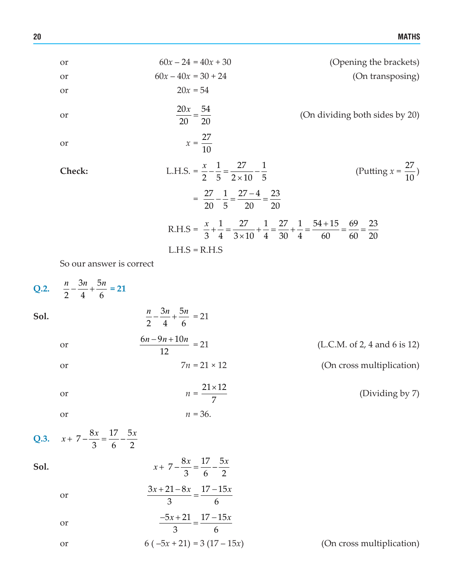or  
\n
$$
60x - 24 = 40x + 30
$$
\nor  
\n
$$
60x - 40x = 30 + 24
$$
\nor  
\n
$$
20x = 54
$$
\nor  
\n
$$
\frac{20x}{20} = \frac{54}{20}
$$
\n(On dividing both sides by 20)\nor  
\n
$$
x = \frac{27}{10}
$$
\nCheck:  
\nL.H.S. =  $\frac{x}{2} - \frac{1}{5} = \frac{27}{2 \times 10} - \frac{1}{5}$   
\n
$$
= \frac{27}{20} - \frac{1}{5} = \frac{27 - 4}{20} = \frac{23}{20}
$$
\n(R.H.S =  $\frac{x}{3} + \frac{1}{4} = \frac{27}{3 \times 10} + \frac{1}{4} = \frac{27}{30} + \frac{1}{4} = \frac{54 + 15}{60} = \frac{69}{60} = \frac{23}{20}$   
\nL.H.S = R.H.S

So our answer is correct

| $\frac{n}{2} - \frac{3n}{4} + \frac{5n}{6} = 21$<br>Sol.<br>$\frac{6n - 9n + 10n}{12} = 21$<br>(L.C.M. of 2, 4 and 6 is 12)<br><b>or</b><br>$7n = 21 \times 12$<br>(On cross multiplication)<br><b>or</b><br>$n = \frac{21 \times 12}{7}$<br>(Dividing by 7)<br><b>or</b><br>$n = 36$ .<br><b>or</b><br>$x+7-\frac{8x}{2}=\frac{17}{6}-\frac{5x}{2}$<br>Sol. |  |
|--------------------------------------------------------------------------------------------------------------------------------------------------------------------------------------------------------------------------------------------------------------------------------------------------------------------------------------------------------------|--|
| Q.3. $x+7-\frac{8x}{3}=\frac{17}{6}-\frac{5x}{2}$                                                                                                                                                                                                                                                                                                            |  |
|                                                                                                                                                                                                                                                                                                                                                              |  |
|                                                                                                                                                                                                                                                                                                                                                              |  |
|                                                                                                                                                                                                                                                                                                                                                              |  |
|                                                                                                                                                                                                                                                                                                                                                              |  |
|                                                                                                                                                                                                                                                                                                                                                              |  |
|                                                                                                                                                                                                                                                                                                                                                              |  |
| $\frac{3x+21-8x}{3} = \frac{17-15x}{6}$<br><b>or</b>                                                                                                                                                                                                                                                                                                         |  |
| $\frac{-5x+21}{3} = \frac{17-15x}{6}$<br><b>or</b>                                                                                                                                                                                                                                                                                                           |  |
| $6(-5x+21) = 3(17-15x)$<br>(On cross multiplication)<br>or                                                                                                                                                                                                                                                                                                   |  |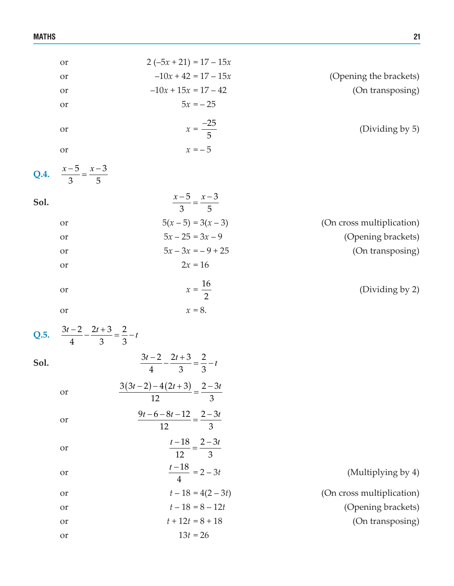|      | <b>or</b>                                                | $2(-5x + 21) = 17 - 15x$                            |                           |
|------|----------------------------------------------------------|-----------------------------------------------------|---------------------------|
|      | or                                                       | $-10x + 42 = 17 - 15x$                              | (Opening the brackets)    |
|      | or                                                       | $-10x + 15x = 17 - 42$                              | (On transposing)          |
|      | or                                                       | $5x = -25$                                          |                           |
|      | or                                                       | $x = \frac{-25}{5}$                                 | (Dividing by 5)           |
|      | <b>or</b>                                                | $x = -5$                                            |                           |
|      | Q.4. $\frac{x-5}{3} = \frac{x-3}{5}$                     |                                                     |                           |
| Sol. |                                                          | $\frac{x-5}{3} = \frac{x-3}{5}$                     |                           |
|      | or                                                       | $5(x-5) = 3(x-3)$                                   | (On cross multiplication) |
|      | or                                                       | $5x - 25 = 3x - 9$                                  | (Opening brackets)        |
|      | <b>or</b>                                                | $5x - 3x = -9 + 25$                                 | (On transposing)          |
|      | or                                                       | $2x = 16$                                           |                           |
|      | or                                                       | $x = \frac{16}{2}$                                  | (Dividing by 2)           |
|      | <b>or</b>                                                | $x = 8$ .                                           |                           |
|      | Q.5. $\frac{3t-2}{4} - \frac{2t+3}{3} = \frac{2}{3} - t$ |                                                     |                           |
| Sol. |                                                          | $\frac{3t-2}{4} - \frac{2t+3}{3} = \frac{2}{3} - t$ |                           |
|      | <b>or</b>                                                | $\frac{3(3t-2)-4(2t+3)}{12} = \frac{2-3t}{3}$       |                           |
|      | or                                                       | $\frac{9t-6-8t-12}{12} = \frac{2-3t}{3}$            |                           |
|      | or                                                       | $\frac{t-18}{12} = \frac{2-3t}{3}$                  |                           |
|      | or                                                       | $\frac{t-18}{4} = 2 - 3t$                           | (Multiplying by 4)        |
|      | or                                                       | $t-18 = 4(2-3t)$                                    | (On cross multiplication) |
|      | <b>or</b>                                                | $t-18=8-12t$                                        | (Opening brackets)        |
|      | <b>or</b>                                                | $t + 12t = 8 + 18$                                  | (On transposing)          |
|      | <b>or</b>                                                | $13t = 26$                                          |                           |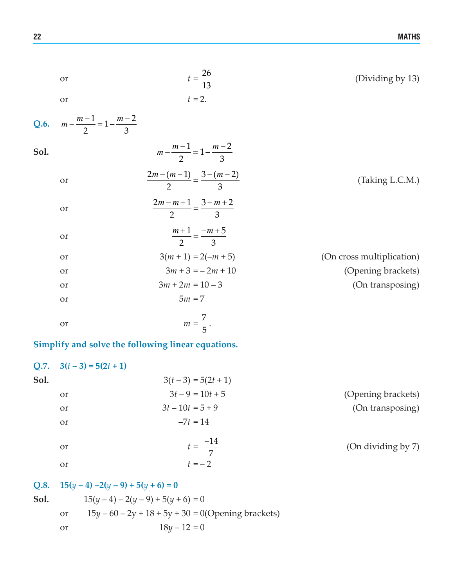|      | or                                      | $t = \frac{26}{13}$                                | (Dividing by 13)          |
|------|-----------------------------------------|----------------------------------------------------|---------------------------|
|      | or                                      | $t = 2.$                                           |                           |
| Q.6. | $m - \frac{m-1}{2} = 1 - \frac{m-2}{3}$ |                                                    |                           |
| Sol. | $m - \frac{m-1}{2} = 1 - \frac{m-2}{2}$ |                                                    |                           |
|      | <b>or</b>                               | $\frac{2m-(m-1)}{2} = \frac{3-(m-2)}{3}$           | (Taking L.C.M.)           |
|      | or                                      | $\frac{2m-m+1}{2} = \frac{3-m+2}{3}$               |                           |
|      | or                                      | $\frac{m+1}{2} = \frac{-m+5}{3}$                   |                           |
|      | <b>or</b>                               | $3(m+1) = 2(-m+5)$                                 | (On cross multiplication) |
|      | or                                      | $3m + 3 = -2m + 10$                                | (Opening brackets)        |
|      | <b>or</b>                               | $3m + 2m = 10 - 3$                                 | (On transposing)          |
|      | or                                      | $5m = 7$                                           |                           |
|      | or                                      | $m = \frac{7}{5}$ .                                |                           |
|      |                                         | Simplify and solve the following linear equations. |                           |
| Q.7. | $3(t-3) = 5(2t + 1)$                    |                                                    |                           |
| Sol. |                                         | $3(t-3) = 5(2t + 1)$                               |                           |
|      | <b>or</b>                               | $3t-9=10t+5$                                       | (Opening brackets)        |
|      | <b>or</b>                               | $3t-10t=5+9$                                       | (On transposing)          |
|      | <b>or</b>                               | $-7t = 14$                                         |                           |

7

<sup>−</sup> (On dividing by 7)

# **Q.8. 15**(*y* – 4) –2(*y* – 9) + 5(*y* + 6) = 0 **Sol.**  $15(y-4) - 2(y-9) + 5(y+6) = 0$

or  $t = \frac{-14}{7}$ 

or  $t = -2$ 

or  $15y - 60 - 2y + 18 + 5y + 30 = 0$  (Opening brackets) or  $18y - 12 = 0$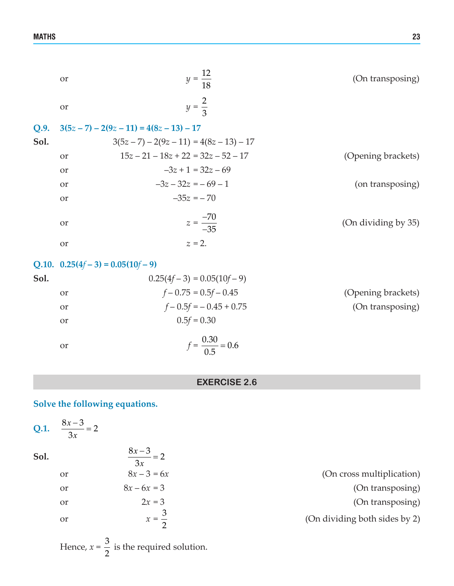|      | <b>or</b>     | $y = \frac{12}{18}$                   | (On transposing)    |
|------|---------------|---------------------------------------|---------------------|
|      | <b>or</b>     | $y = \frac{2}{3}$                     |                     |
| Q.9. |               | $3(5z-7) - 2(9z-11) = 4(8z-13) - 17$  |                     |
| Sol. |               | $3(5z-7) - 2(9z-11) = 4(8z-13) - 17$  |                     |
|      | <b>or</b>     | $15z - 21 - 18z + 22 = 32z - 52 - 17$ | (Opening brackets)  |
|      | <b>or</b>     | $-3z + 1 = 32z - 69$                  |                     |
|      | <b>or</b>     | $-3z - 32z = -69 - 1$                 | (on transposing)    |
|      | <b>or</b>     | $-35z = -70$                          |                     |
|      | <b>or</b>     | $z = \frac{-70}{-35}$                 | (On dividing by 35) |
|      | <b>or</b>     | $z = 2$ .                             |                     |
|      |               | Q.10. $0.25(4f-3) = 0.05(10f-9)$      |                     |
| Sol. |               | $0.25(4f-3) = 0.05(10f-9)$            |                     |
|      | <b>or</b>     | $f - 0.75 = 0.5f - 0.45$              | (Opening brackets)  |
|      | <sub>or</sub> | $f - 0.5f = -0.45 + 0.75$             | (On transposing)    |
|      | <sub>or</sub> | $0.5f = 0.30$                         |                     |
|      | or            | $f = \frac{0.30}{0.5} = 0.6$          |                     |

## **EXERCISE 2.6**

## **Solve the following equations.**

| $\frac{8x-3}{3x}=2$<br>Sol.<br>$8x - 3 = 6x$<br><sub>or</sub><br>$8x - 6x = 3$<br><sub>or</sub><br>$2x = 3$<br>or<br>$x=\frac{3}{x}$<br><sub>or</sub> | Q.1. | $\frac{8x-3}{3x}=2$ |                               |
|-------------------------------------------------------------------------------------------------------------------------------------------------------|------|---------------------|-------------------------------|
|                                                                                                                                                       |      |                     |                               |
|                                                                                                                                                       |      |                     | (On cross multiplication)     |
|                                                                                                                                                       |      |                     | (On transposing)              |
|                                                                                                                                                       |      |                     | (On transposing)              |
|                                                                                                                                                       |      |                     | (On dividing both sides by 2) |

Hence,  $x = \frac{3}{2}$  is the required solution.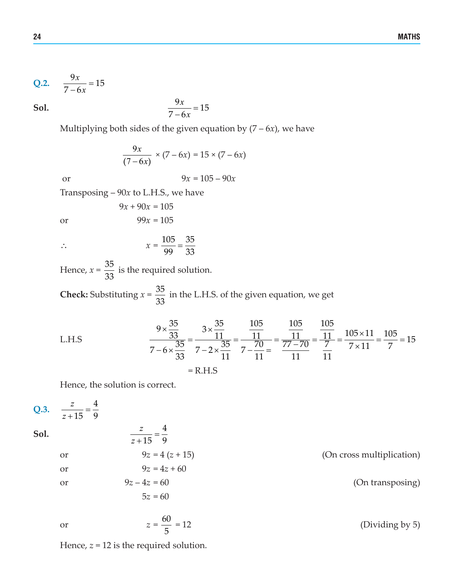Q.2. 
$$
\frac{9x}{7-6x} = 15
$$

**Sol.**  $\frac{9x}{7-6x} = 15$ *x*

Multiplying both sides of the given equation by  $(7 - 6x)$ , we have

$$
\frac{9x}{(7-6x)} \times (7-6x) = 15 \times (7-6x)
$$

or 
$$
9x = 105 - 90x
$$

Transposing – 90*x* to L.H.S., we have

$$
9x + 90x = 105
$$
  
or  

$$
99x = 105
$$

$$
\therefore \qquad x = \frac{105}{99} = \frac{35}{33}
$$

Hence,  $x = \frac{35}{33}$  is the required solution.

**Check:** Substituting  $x = \frac{35}{33}$  in the L.H.S. of the given equation, we get

L.H.S 
$$
\frac{9 \times \frac{35}{33}}{7 - 6 \times \frac{35}{33}} = \frac{3 \times \frac{35}{11}}{7 - 2 \times \frac{35}{11}} = \frac{\frac{105}{11}}{7 - \frac{70}{11}} = \frac{\frac{105}{11}}{\frac{77 - 70}{11}} = \frac{\frac{105}{11}}{\frac{7}{11}} = \frac{105 \times 11}{7 \times 11} = \frac{105}{7} = 15
$$
  
= R.H.S

Hence, the solution is correct.

Q.3. 
$$
\frac{z}{z+15} = \frac{4}{9}
$$
  
\nSoI.  
\n
$$
\frac{z}{z+15} = \frac{4}{9}
$$
  
\nor  
\n
$$
9z = 4(z+15)
$$
  
\nor  
\n
$$
9z = 4z + 60
$$
  
\nor  
\n
$$
9z - 4z = 60
$$
  
\n
$$
5z = 60
$$
  
\n(A) 
$$
60
$$

or 
$$
z = \frac{60}{5} = 12
$$
 (Dividing by 5)

Hence,  $z = 12$  is the required solution.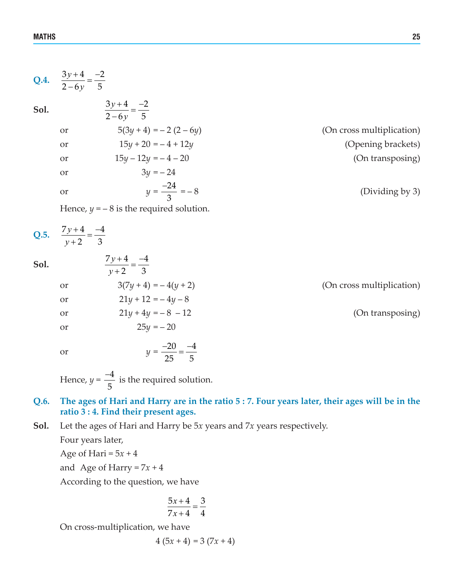|      | Q.4. $\frac{3y+4}{2-6y} = \frac{-2}{5}$                                                        |                           |
|------|------------------------------------------------------------------------------------------------|---------------------------|
| Sol. | $\frac{3y+4}{2-6y} = \frac{-2}{5}$                                                             |                           |
|      | $5(3y+4) = -2(2-6y)$<br>or                                                                     | (On cross multiplication) |
|      | $15y + 20 = -4 + 12y$<br><b>or</b>                                                             | (Opening brackets)        |
|      | $15y - 12y = -4 - 20$<br><b>or</b>                                                             | (On transposing)          |
|      | $3y = -24$<br><b>or</b>                                                                        |                           |
|      | $y = \frac{-24}{2} = -8$<br>or                                                                 | (Dividing by 3)           |
|      | Hence, $y = -8$ is the required solution.                                                      |                           |
|      | Q.5. $\frac{7y+4}{y+2} = \frac{-4}{3}$                                                         |                           |
| Sol. | $\frac{7y+4}{y+2} = \frac{-4}{3}$                                                              |                           |
|      | $3(7y+4) = -4(y+2)$<br>or                                                                      | (On cross multiplication) |
|      | $21y + 12 = -4y - 8$<br>or                                                                     |                           |
|      | $21y + 4y = -8 - 12$<br>or                                                                     | (On transposing)          |
|      | $25y = -20$<br><b>or</b>                                                                       |                           |
|      | $y = \frac{-20}{25} = \frac{-4}{5}$<br>or                                                      |                           |
|      | Hence, $y = \frac{-4}{5}$ is the required solution.                                            |                           |
| Q.6. | The ages of Hari and Harry are in the ratio 5 : 7. Four years later, their ages will be in the |                           |

# **ratio 3 : 4. Find their present ages.**

**Sol.** Let the ages of Hari and Harry be 5*x* years and 7*x* years respectively.

Four years later,

Age of Hari =  $5x + 4$ 

and Age of Harry =  $7x + 4$ 

According to the question, we have

$$
\frac{5x+4}{7x+4} = \frac{3}{4}
$$

On cross-multiplication, we have

4 (5*x* + 4) = 3 (7*x* + 4)